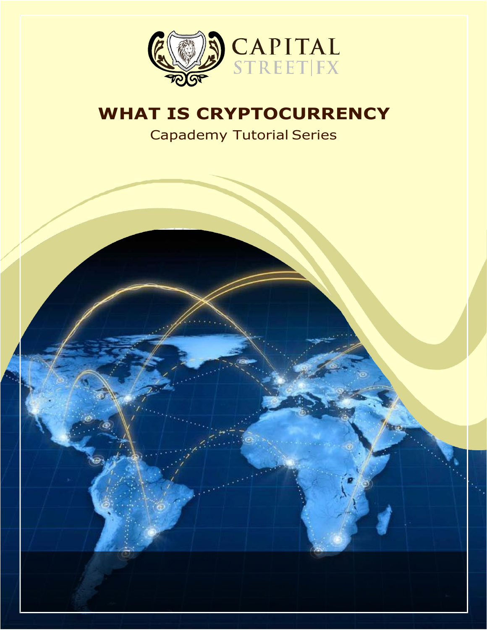

# **WHAT IS CRYPTOCURRENCY**

Capademy Tutorial Series

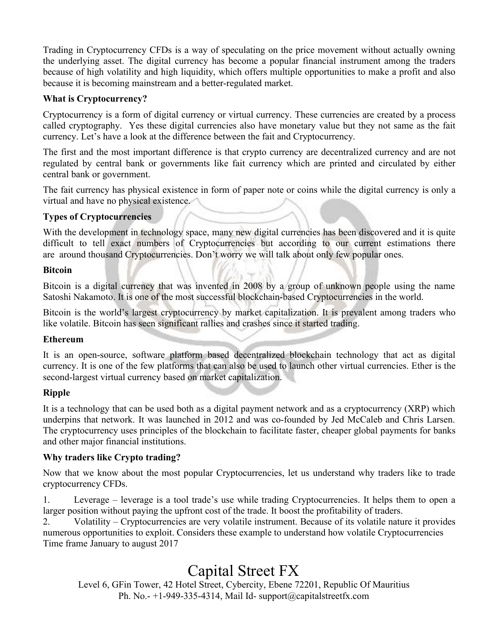Trading in Cryptocurrency CFDs is a way of speculating on the price movement without actually owning the underlying asset. The digital currency has become a popular financial instrument among the traders because of high volatility and high liquidity, which offers multiple opportunities to make a profit and also because it is becoming mainstream and a better-regulated market.

#### **What is Cryptocurrency?**

Cryptocurrency is a form of digital currency or virtual currency. These currencies are created by a process called cryptography. Yes these digital currencies also have monetary value but they not same as the fait currency. Let's have a look at the difference between the fait and Cryptocurrency.

The first and the most important difference is that crypto currency are decentralized currency and are not regulated by central bank or governments like fait currency which are printed and circulated by either central bank or government.

The fait currency has physical existence in form of paper note or coins while the digital currency is only a virtual and have no physical existence.

#### **Types of Cryptocurrencies**

With the development in technology space, many new digital currencies has been discovered and it is quite difficult to tell exact numbers of Cryptocurrencies but according to our current estimations there are around thousand Cryptocurrencies. Don't worry we will talk about only few popular ones.

#### **Bitcoin**

Bitcoin is a digital currency that was invented in 2008 by a group of unknown people using the name Satoshi Nakamoto. It is one of the most successful blockchain-based Cryptocurrencies in the world.

Bitcoin is the world's largest cryptocurrency by market capitalization. It is prevalent among traders who like volatile. Bitcoin has seen significant rallies and crashes since it started trading.

### **Ethereum**

It is an open-source, software platform based decentralized blockchain technology that act as digital currency. It is one of the few platforms that can also be used to launch other virtual currencies. Ether is the second-largest virtual currency based on market capitalization.

### **Ripple**

It is a technology that can be used both as a digital payment network and as a cryptocurrency (XRP) which underpins that network. It was launched in 2012 and was co-founded by Jed McCaleb and Chris Larsen. The cryptocurrency uses principles of the blockchain to facilitate faster, cheaper global payments for banks and other major financial institutions.

### **Why traders like Crypto trading?**

Now that we know about the most popular Cryptocurrencies, let us understand why traders like to trade cryptocurrency CFDs.

1. Leverage – leverage isa tool trade's use while trading Cryptocurrencies. It helps them to open a larger position without paying the upfront cost of the trade. It boost the profitability of traders.

2. Volatility – Cryptocurrencies are very volatile instrument. Because of its volatile nature it provides numerous opportunities to exploit. Considers these example to understand how volatile Cryptocurrencies Time frame January to august 2017

## Capital Street FX

Level 6, GFin Tower, 42 Hotel Street, Cybercity, Ebene 72201, Republic Of Mauritius Ph. No.-  $+1-949-335-4314$ , Mail Id- [support@capitalstreetfx.com](mailto:support@capitalstreetfx.com)